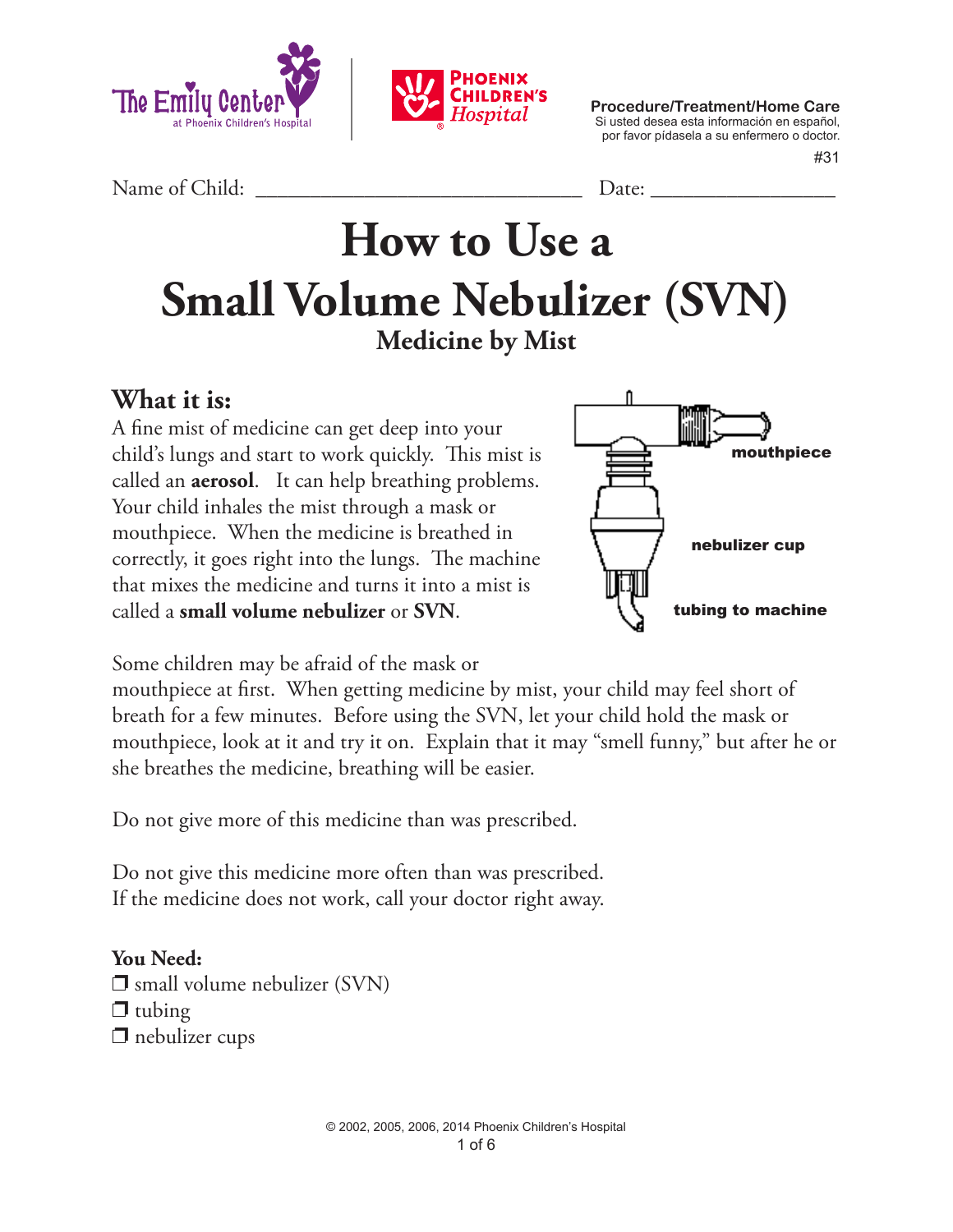



**Procedure/Treatment/Home Care** Si usted desea esta información en español, por favor pídasela a su enfermero o doctor.

#31

Name of Child: <u>Date:</u>

# **How to Use a Small Volume Nebulizer (SVN) Medicine by Mist**

**What it is:** 

A fine mist of medicine can get deep into your child's lungs and start to work quickly. This mist is called an **aerosol**. It can help breathing problems. Your child inhales the mist through a mask or mouthpiece. When the medicine is breathed in correctly, it goes right into the lungs. The machine that mixes the medicine and turns it into a mist is called a **small volume nebulizer** or **SVN**.



Some children may be afraid of the mask or

mouthpiece at first. When getting medicine by mist, your child may feel short of breath for a few minutes. Before using the SVN, let your child hold the mask or mouthpiece, look at it and try it on. Explain that it may "smell funny," but after he or she breathes the medicine, breathing will be easier.

Do not give more of this medicine than was prescribed.

Do not give this medicine more often than was prescribed. If the medicine does not work, call your doctor right away.

**You Need:**  $\square$  small volume nebulizer (SVN)  $\Box$  tubing  $\Box$  nebulizer cups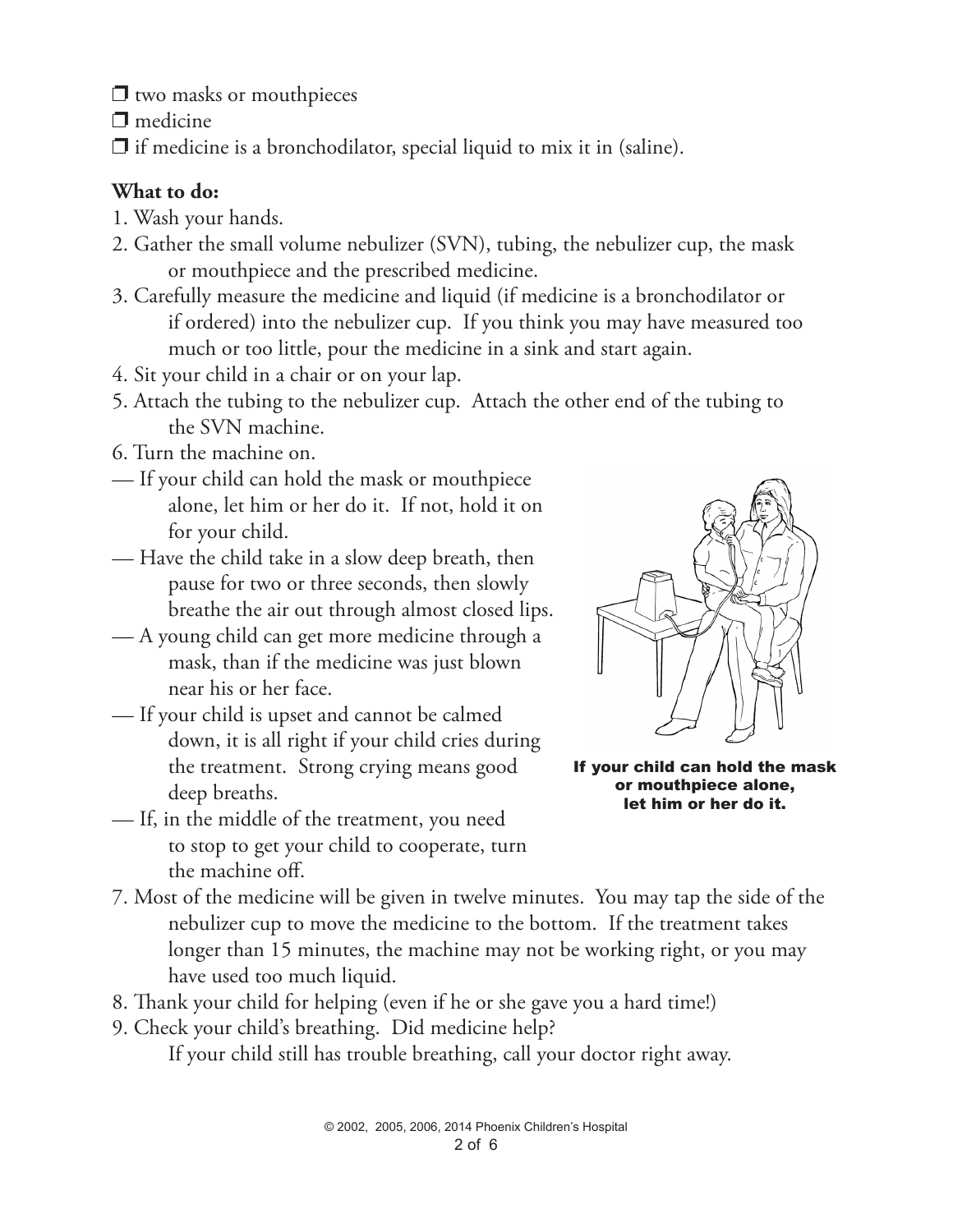$\Box$  two masks or mouthpieces

 $\Box$  medicine

 $\Box$  if medicine is a bronchodilator, special liquid to mix it in (saline).

#### **What to do:**

- 1. Wash your hands.
- 2. Gather the small volume nebulizer (SVN), tubing, the nebulizer cup, the mask or mouthpiece and the prescribed medicine.
- 3. Carefully measure the medicine and liquid (if medicine is a bronchodilator or if ordered) into the nebulizer cup. If you think you may have measured too much or too little, pour the medicine in a sink and start again.
- 4. Sit your child in a chair or on your lap.
- 5. Attach the tubing to the nebulizer cup. Attach the other end of the tubing to the SVN machine.
- 6. Turn the machine on.
- If your child can hold the mask or mouthpiece alone, let him or her do it. If not, hold it on for your child.
- Have the child take in a slow deep breath, then pause for two or three seconds, then slowly breathe the air out through almost closed lips.
- A young child can get more medicine through a mask, than if the medicine was just blown near his or her face.
- If your child is upset and cannot be calmed down, it is all right if your child cries during the treatment. Strong crying means good deep breaths.
- If, in the middle of the treatment, you need to stop to get your child to cooperate, turn the machine off.



If your child can hold the mask or mouthpiece alone, let him or her do it.

- 7. Most of the medicine will be given in twelve minutes. You may tap the side of the nebulizer cup to move the medicine to the bottom. If the treatment takes longer than 15 minutes, the machine may not be working right, or you may have used too much liquid.
- 8. Thank your child for helping (even if he or she gave you a hard time!)
- 9. Check your child's breathing. Did medicine help?

If your child still has trouble breathing, call your doctor right away.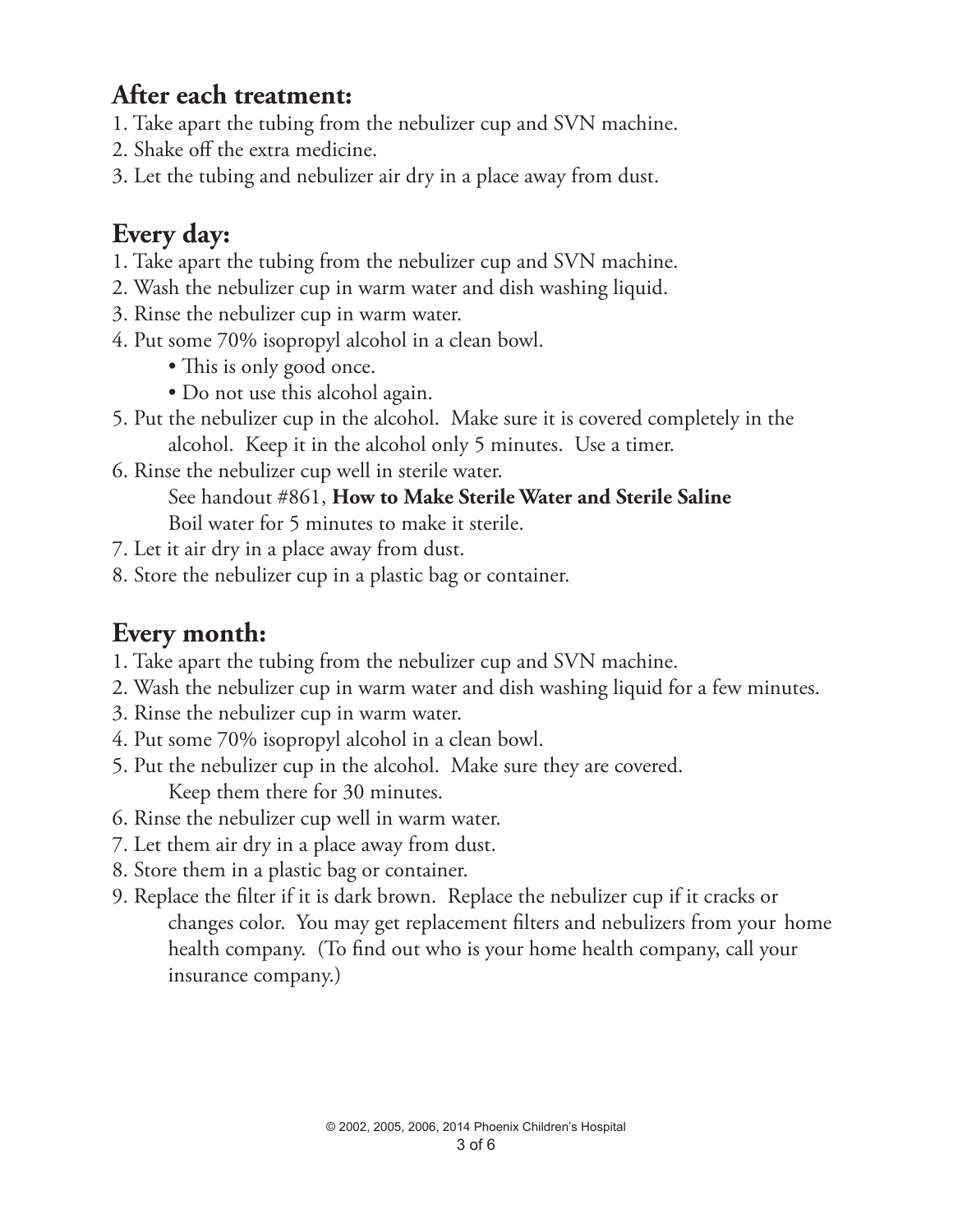### **After each treatment:**

- 1. Take apart the tubing from the nebulizer cup and SVN machine.
- 2. Shake off the extra medicine.
- 3. Let the tubing and nebulizer air dry in a place away from dust.

### **Every day:**

- 1. Take apart the tubing from the nebulizer cup and SVN machine.
- 2. Wash the nebulizer cup in warm water and dish washing liquid.
- 3. Rinse the nebulizer cup in warm water.
- 4. Put some 70% isopropyl alcohol in a clean bowl.
	- This is only good once.
	- Do not use this alcohol again.
- 5. Put the nebulizer cup in the alcohol. Make sure it is covered completely in the alcohol. Keep it in the alcohol only 5 minutes. Use a timer.
- 6. Rinse the nebulizer cup well in sterile water. See handout #861, **How to Make Sterile Water and Sterile Saline** Boil water for 5 minutes to make it sterile.
- 7. Let it air dry in a place away from dust.
- 8. Store the nebulizer cup in a plastic bag or container.

## **Every month:**

- 1. Take apart the tubing from the nebulizer cup and SVN machine.
- 2. Wash the nebulizer cup in warm water and dish washing liquid for a few minutes.
- 3. Rinse the nebulizer cup in warm water.
- 4. Put some 70% isopropyl alcohol in a clean bowl.
- 5. Put the nebulizer cup in the alcohol. Make sure they are covered. Keep them there for 30 minutes.
- 6. Rinse the nebulizer cup well in warm water.
- 7. Let them air dry in a place away from dust.
- 8. Store them in a plastic bag or container.
- 9. Replace the filter if it is dark brown. Replace the nebulizer cup if it cracks or changes color. You may get replacement filters and nebulizers from your home health company. (To find out who is your home health company, call your insurance company.)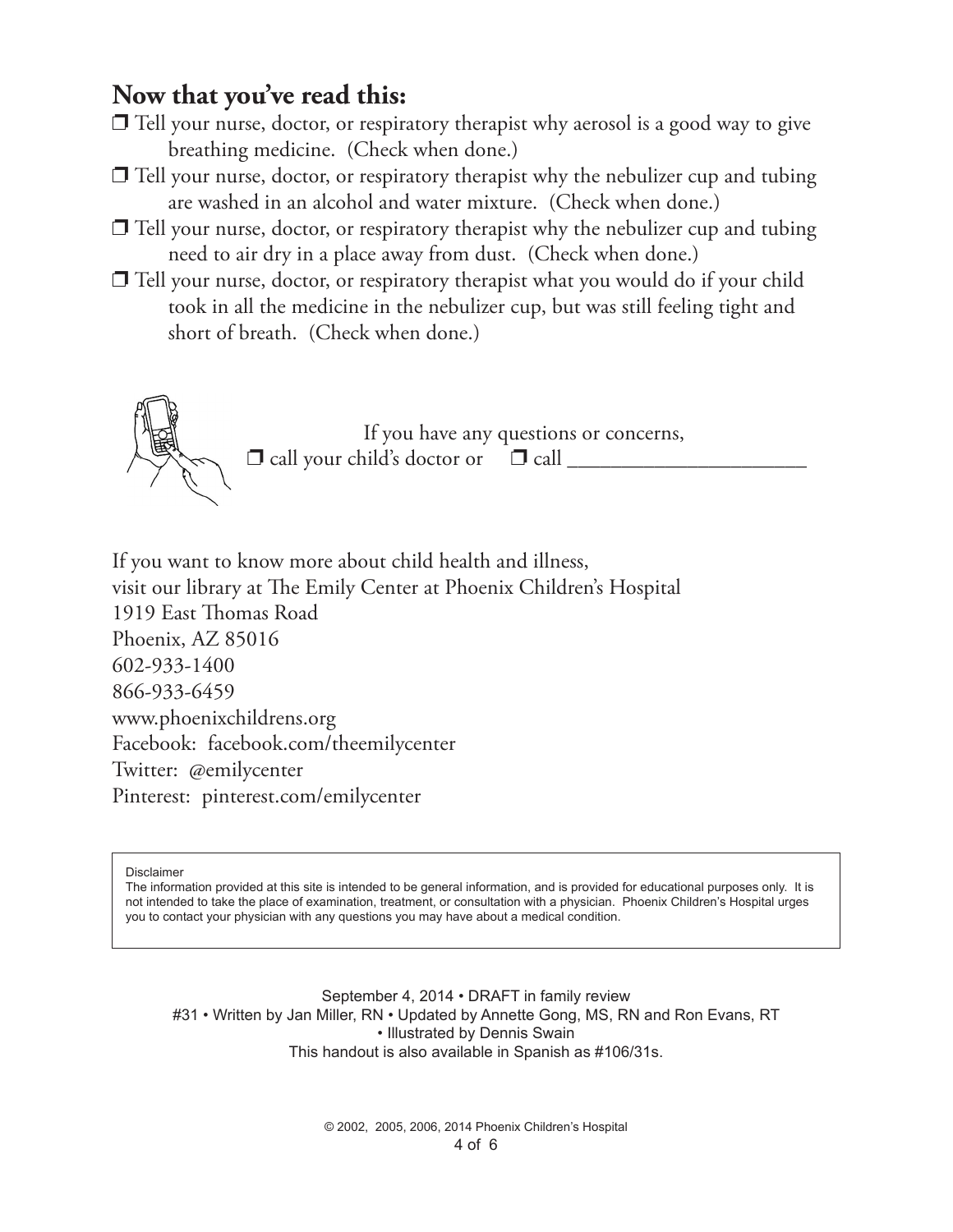### **Now that you've read this:**

- $\Box$  Tell your nurse, doctor, or respiratory therapist why aerosol is a good way to give breathing medicine. (Check when done.)
- $\Box$  Tell your nurse, doctor, or respiratory therapist why the nebulizer cup and tubing are washed in an alcohol and water mixture. (Check when done.)
- $\Box$  Tell your nurse, doctor, or respiratory therapist why the nebulizer cup and tubing need to air dry in a place away from dust. (Check when done.)
- $\Box$  Tell your nurse, doctor, or respiratory therapist what you would do if your child took in all the medicine in the nebulizer cup, but was still feeling tight and short of breath. (Check when done.)



If you have any questions or concerns,  $\Box$  call your child's doctor or  $\Box$  call  $\_\_$ 

If you want to know more about child health and illness, visit our library at The Emily Center at Phoenix Children's Hospital 1919 East Thomas Road Phoenix, AZ 85016 602-933-1400 866-933-6459 www.phoenixchildrens.org Facebook: facebook.com/theemilycenter Twitter: @emilycenter Pinterest: pinterest.com/emilycenter

Disclaimer

The information provided at this site is intended to be general information, and is provided for educational purposes only. It is not intended to take the place of examination, treatment, or consultation with a physician. Phoenix Children's Hospital urges you to contact your physician with any questions you may have about a medical condition.

September 4, 2014 • DRAFT in family review #31 • Written by Jan Miller, RN • Updated by Annette Gong, MS, RN and Ron Evans, RT • Illustrated by Dennis Swain This handout is also available in Spanish as #106/31s.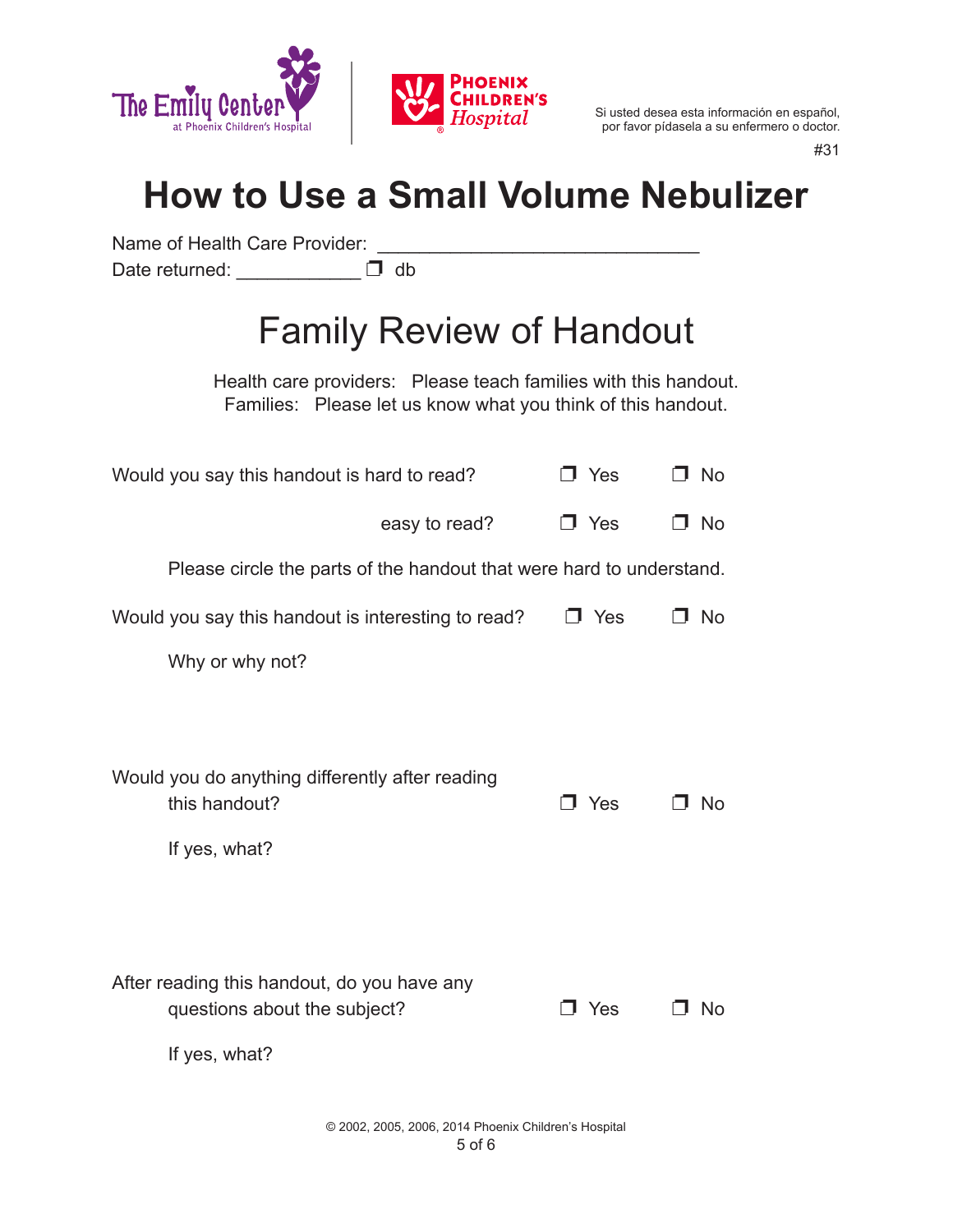

#31

## **How to Use a Small Volume Nebulizer**

Name of Health Care Provider: \_\_\_\_\_\_\_\_\_\_\_\_\_\_\_\_\_\_\_\_\_\_\_\_\_\_\_\_\_\_\_ Date returned: \_\_\_\_\_\_\_\_\_\_\_\_\_\_ D db

# Family Review of Handout

Health care providers: Please teach families with this handout. Families: Please let us know what you think of this handout.

| Would you say this handout is hard to read?                                                  | J Yes      | ⊐ No      |
|----------------------------------------------------------------------------------------------|------------|-----------|
| easy to read?                                                                                | $\Box$ Yes | □ No      |
| Please circle the parts of the handout that were hard to understand.                         |            |           |
| Would you say this handout is interesting to read?                                           | J Yes      | <b>No</b> |
| Why or why not?                                                                              |            |           |
|                                                                                              |            |           |
| Would you do anything differently after reading<br>this handout?<br>If yes, what?            | Yes        | No        |
| After reading this handout, do you have any<br>questions about the subject?<br>If yes, what? | $\Box$ Yes | . No      |